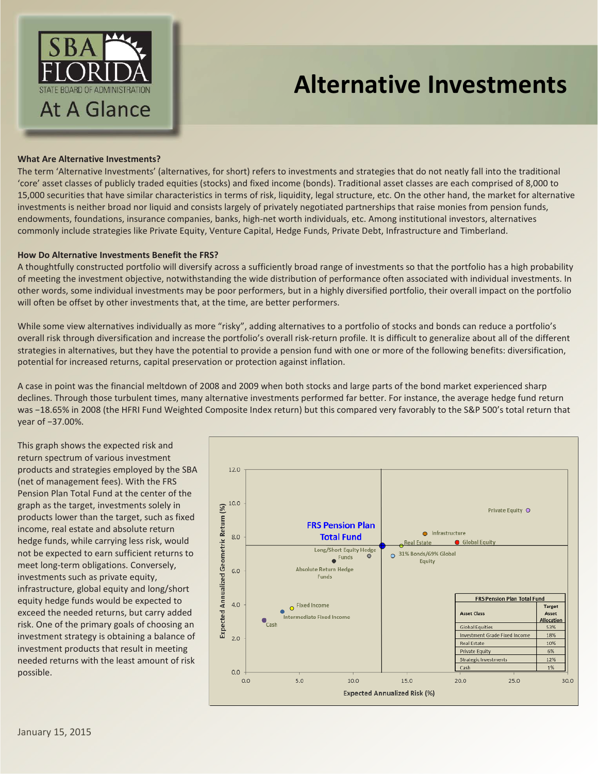

# **Alternative Investments**

## **What Are Alternative Investments?**

The term 'Alternative Investments' (alternatives, for short) refers to investments and strategies that do not neatly fall into the traditional 'core' asset classes of publicly traded equities (stocks) and fixed income (bonds). Traditional asset classes are each comprised of 8,000 to 15,000 securities that have similar characteristics in terms of risk, liquidity, legal structure, etc. On the other hand, the market for alternative investments is neither broad nor liquid and consists largely of privately negotiated partnerships that raise monies from pension funds, endowments, foundations, insurance companies, banks, high-net worth individuals, etc. Among institutional investors, alternatives commonly include strategies like Private Equity, Venture Capital, Hedge Funds, Private Debt, Infrastructure and Timberland.

#### **How Do Alternative Investments Benefit the FRS?**

A thoughtfully constructed portfolio will diversify across a sufficiently broad range of investments so that the portfolio has a high probability of meeting the investment objective, notwithstanding the wide distribution of performance often associated with individual investments. In other words, some individual investments may be poor performers, but in a highly diversified portfolio, their overall impact on the portfolio will often be offset by other investments that, at the time, are better performers.

While some view alternatives individually as more "risky", adding alternatives to a portfolio of stocks and bonds can reduce a portfolio's overall risk through diversification and increase the portfolio's overall risk-return profile. It is difficult to generalize about all of the different strategies in alternatives, but they have the potential to provide a pension fund with one or more of the following benefits: diversification, potential for increased returns, capital preservation or protection against inflation.

A case in point was the financial meltdown of 2008 and 2009 when both stocks and large parts of the bond market experienced sharp declines. Through those turbulent times, many alternative investments performed far better. For instance, the average hedge fund return was −18.65% in 2008 (the HFRI Fund Weighted Composite Index return) but this compared very favorably to the S&P 500's total return that year of −37.00%.

This graph shows the expected risk and return spectrum of various investment products and strategies employed by the SBA (net of management fees). With the FRS Pension Plan Total Fund at the center of the graph as the target, investments solely in products lower than the target, such as fixed income, real estate and absolute return hedge funds, while carrying less risk, would not be expected to earn sufficient returns to meet long-term obligations. Conversely, investments such as private equity, infrastructure, global equity and long/short equity hedge funds would be expected to exceed the needed returns, but carry added risk. One of the primary goals of choosing an investment strategy is obtaining a balance of investment products that result in meeting needed returns with the least amount of risk possible.